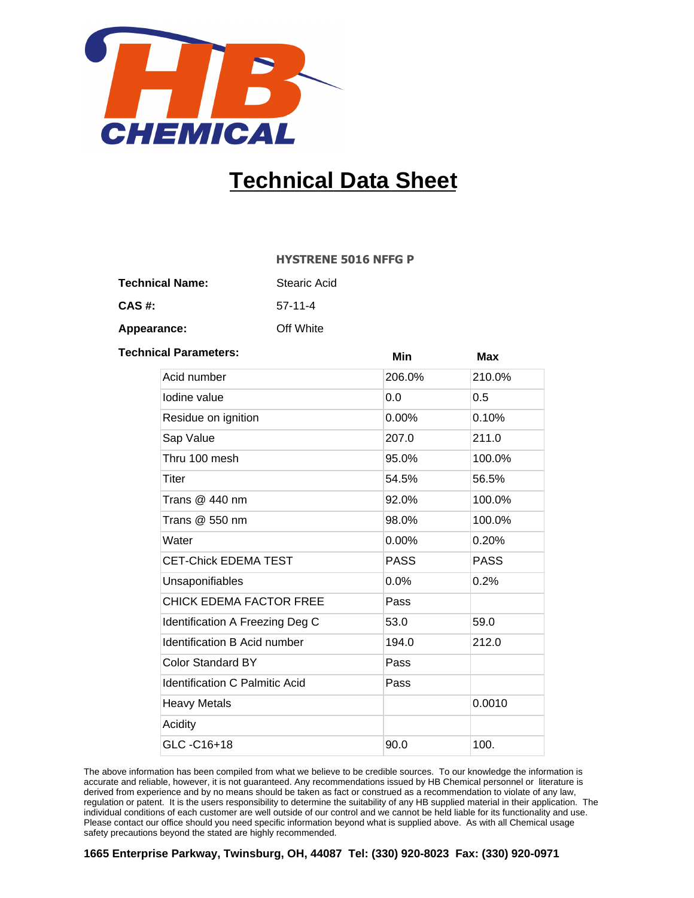

## **Technical Data Sheet**

## **HYSTRENE 5016 NFFG P**

| <b>Technical Name:</b> | <b>Stearic Acid</b> |  |
|------------------------|---------------------|--|
|                        |                     |  |

57-11-4 **CAS #:**

Off White **Appearance:**

| <b>Technical Parameters:</b>          | Min         | Max    |
|---------------------------------------|-------------|--------|
| Acid number                           | 206.0%      | 210.0% |
| Iodine value                          | 0.0         | 0.5    |
| Residue on ignition                   | $0.00\%$    | 0.10%  |
| Sap Value                             | 207.0       | 211.0  |
| Thru 100 mesh                         | 95.0%       | 100.0% |
| Titer                                 | 54.5%       | 56.5%  |
| Trans $@$ 440 nm                      | 92.0%       | 100.0% |
| Trans @ 550 nm                        | 98.0%       | 100.0% |
| Water                                 | $0.00\%$    | 0.20%  |
| <b>CET-Chick EDEMA TEST</b>           | <b>PASS</b> | PASS   |
| Unsaponifiables                       | 0.0%        | 0.2%   |
| <b>CHICK EDEMA FACTOR FREE</b>        | Pass        |        |
| Identification A Freezing Deg C       | 53.0        | 59.0   |
| <b>Identification B Acid number</b>   | 194.0       | 212.0  |
| <b>Color Standard BY</b>              | Pass        |        |
| <b>Identification C Palmitic Acid</b> | Pass        |        |
| <b>Heavy Metals</b>                   |             | 0.0010 |
| Acidity                               |             |        |
| GLC-C16+18                            | 90.0        | 100.   |

The above information has been compiled from what we believe to be credible sources. To our knowledge the information is accurate and reliable, however, it is not guaranteed. Any recommendations issued by HB Chemical personnel or literature is derived from experience and by no means should be taken as fact or construed as a recommendation to violate of any law, regulation or patent. It is the users responsibility to determine the suitability of any HB supplied material in their application. The individual conditions of each customer are well outside of our control and we cannot be held liable for its functionality and use. Please contact our office should you need specific information beyond what is supplied above. As with all Chemical usage safety precautions beyond the stated are highly recommended.